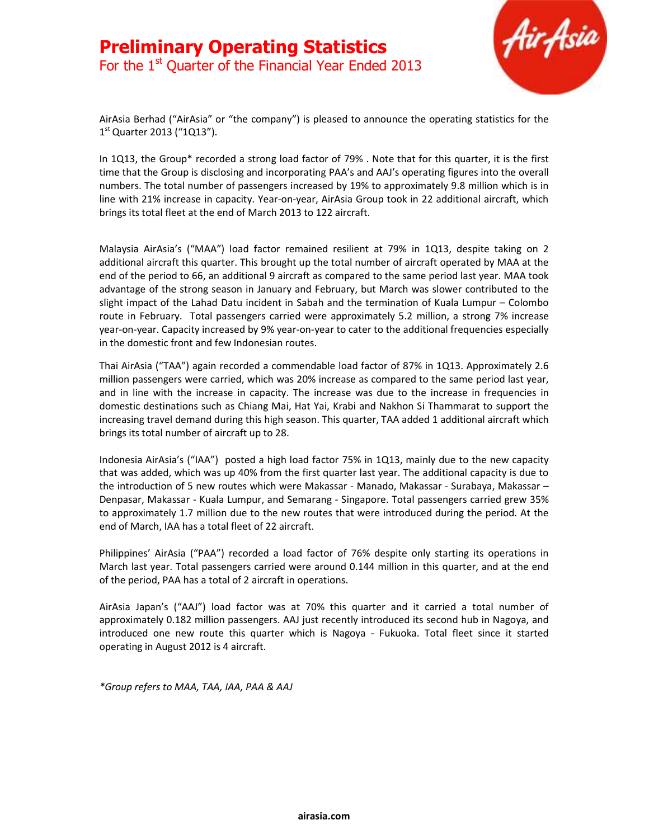

AirAsia Berhad ("AirAsia" or "the company") is pleased to announce the operating statistics for the 1<sup>st</sup> Quarter 2013 ("1Q13").

In 1Q13, the Group\* recorded a strong load factor of 79% . Note that for this quarter, it is the first time that the Group is disclosing and incorporating PAA's and AAJ's operating figures into the overall numbers. The total number of passengers increased by 19% to approximately 9.8 million which is in line with 21% increase in capacity. Year-on-year, AirAsia Group took in 22 additional aircraft, which brings its total fleet at the end of March 2013 to 122 aircraft.

Malaysia AirAsia's ("MAA") load factor remained resilient at 79% in 1Q13, despite taking on 2 additional aircraft this quarter. This brought up the total number of aircraft operated by MAA at the end of the period to 66, an additional 9 aircraft as compared to the same period last year. MAA took advantage of the strong season in January and February, but March was slower contributed to the slight impact of the Lahad Datu incident in Sabah and the termination of Kuala Lumpur – Colombo route in February. Total passengers carried were approximately 5.2 million, a strong 7% increase year-on-year. Capacity increased by 9% year-on-year to cater to the additional frequencies especially in the domestic front and few Indonesian routes.

Thai AirAsia ("TAA") again recorded a commendable load factor of 87% in 1Q13. Approximately 2.6 million passengers were carried, which was 20% increase as compared to the same period last year, and in line with the increase in capacity. The increase was due to the increase in frequencies in domestic destinations such as Chiang Mai, Hat Yai, Krabi and Nakhon Si Thammarat to support the increasing travel demand during this high season. This quarter, TAA added 1 additional aircraft which brings its total number of aircraft up to 28.

Indonesia AirAsia's ("IAA") posted a high load factor 75% in 1Q13, mainly due to the new capacity that was added, which was up 40% from the first quarter last year. The additional capacity is due to the introduction of 5 new routes which were Makassar - Manado, Makassar - Surabaya, Makassar – Denpasar, Makassar - Kuala Lumpur, and Semarang - Singapore. Total passengers carried grew 35% to approximately 1.7 million due to the new routes that were introduced during the period. At the end of March, IAA has a total fleet of 22 aircraft.

Philippines' AirAsia ("PAA") recorded a load factor of 76% despite only starting its operations in March last year. Total passengers carried were around 0.144 million in this quarter, and at the end of the period, PAA has a total of 2 aircraft in operations.

AirAsia Japan's ("AAJ") load factor was at 70% this quarter and it carried a total number of approximately 0.182 million passengers. AAJ just recently introduced its second hub in Nagoya, and introduced one new route this quarter which is Nagoya - Fukuoka. Total fleet since it started operating in August 2012 is 4 aircraft.

\*Group refers to MAA, TAA, IAA, PAA & AAJ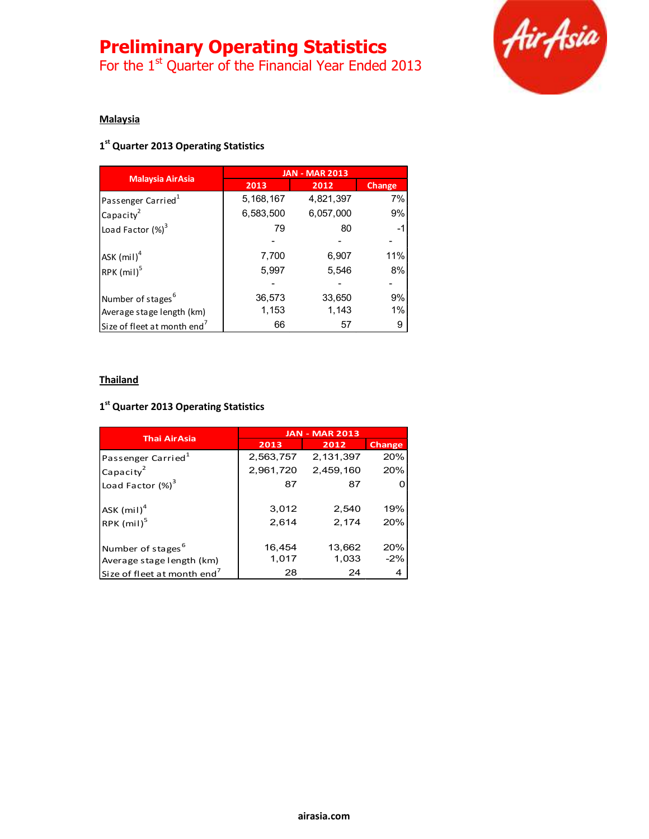# Preliminary Operating Statistics

For the  $1<sup>st</sup>$  Quarter of the Financial Year Ended 2013



## **Malaysia**

## 1<sup>st</sup> Quarter 2013 Operating Statistics

|                                         | <b>JAN - MAR 2013</b> |           |        |
|-----------------------------------------|-----------------------|-----------|--------|
| <b>Malaysia AirAsia</b>                 | 2013                  | 2012      | Change |
| Passenger Carried <sup>1</sup>          | 5, 168, 167           | 4,821,397 | 7%     |
| Capacity <sup>2</sup>                   | 6,583,500             | 6,057,000 | 9%     |
| Load Factor $(\%)^3$                    | 79                    | 80        |        |
|                                         |                       |           |        |
| ASK $(mil)^4$                           | 7,700                 | 6,907     | 11%    |
| RPK $(mil)^5$                           | 5,997                 | 5,546     | 8%     |
|                                         |                       |           |        |
| Number of stages <sup>6</sup>           | 36,573                | 33,650    | 9%     |
| Average stage length (km)               | 1,153                 | 1,143     | 1%     |
| Size of fleet at month end <sup>7</sup> | 66                    | 57        | 9      |

#### **Thailand**

### 1<sup>st</sup> Quarter 2013 Operating Statistics

|                                                            | <b>JAN - MAR 2013</b> |                 |               |
|------------------------------------------------------------|-----------------------|-----------------|---------------|
| <b>Thai AirAsia</b>                                        | 2013                  | 2012            | <b>Change</b> |
| Passenger Carried <sup>1</sup>                             | 2,563,757             | 2,131,397       | 20%           |
| Capacity <sup>2</sup>                                      | 2,961,720             | 2,459,160       | 20%           |
| Load Factor $(\%)^3$                                       | 87                    | 87              |               |
| ASK $(mil)^4$<br>RPK $(mil)^5$                             | 3.012<br>2.614        | 2,540<br>2,174  | 19%<br>20%    |
| Number of stages <sup>o</sup><br>Average stage length (km) | 16,454<br>1,017       | 13,662<br>1,033 | 20%<br>$-2%$  |
| Size of fleet at month end <sup>7</sup>                    | 28                    | 24              | 4             |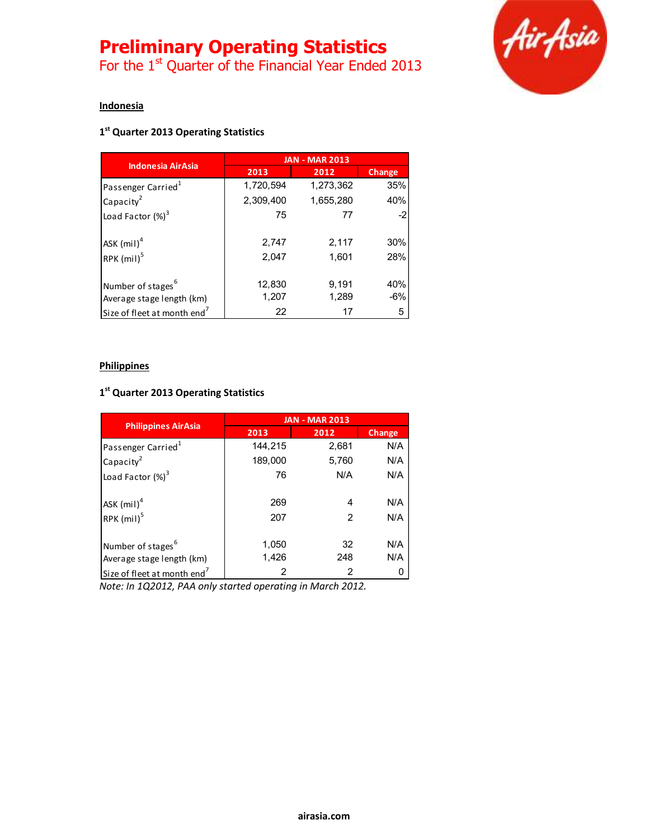# Preliminary Operating Statistics

For the  $1<sup>st</sup>$  Quarter of the Financial Year Ended 2013



# Indonesia

# 1<sup>st</sup> Quarter 2013 Operating Statistics

| <b>Indonesia AirAsia</b>                | <b>JAN - MAR 2013</b> |           |        |
|-----------------------------------------|-----------------------|-----------|--------|
|                                         | 2013                  | 2012      | Change |
| Passenger Carried <sup>1</sup>          | 1,720,594             | 1,273,362 | 35%    |
| Capacity <sup>2</sup>                   | 2,309,400             | 1,655,280 | 40%    |
| Load Factor $(\%)^3$                    | 75                    | 77        | $-2$   |
| $ASK$ (mil) <sup>4</sup>                | 2,747                 | 2,117     | 30%    |
| RPK (mil) <sup>5</sup>                  | 2,047                 | 1,601     | 28%    |
| Number of stages <sup>6</sup>           | 12,830                | 9,191     | 40%    |
| Average stage length (km)               | 1,207                 | 1,289     | $-6%$  |
| Size of fleet at month end <sup>7</sup> | 22                    | 17        | 5      |

#### **Philippines**

# 1<sup>st</sup> Quarter 2013 Operating Statistics

|                                         | <b>JAN - MAR 2013</b> |       |               |
|-----------------------------------------|-----------------------|-------|---------------|
| <b>Philippines AirAsia</b>              | 2013                  | 2012  | <b>Change</b> |
| Passenger Carried <sup>1</sup>          | 144,215               | 2,681 | N/A           |
| Capacity <sup>2</sup>                   | 189,000               | 5,760 | N/A           |
| Load Factor $(\%)^3$                    | 76                    | N/A   | N/A           |
| ASK $(mil)^4$                           | 269                   | 4     | N/A           |
| RPK (mil) <sup>5</sup>                  | 207                   | 2     | N/A           |
| Number of stages <sup>6</sup>           | 1,050                 | 32    | N/A           |
| Average stage length (km)               | 1,426                 | 248   | N/A           |
| Size of fleet at month end <sup>7</sup> | 2                     | 2     | 0             |

Note: In 1Q2012, PAA only started operating in March 2012.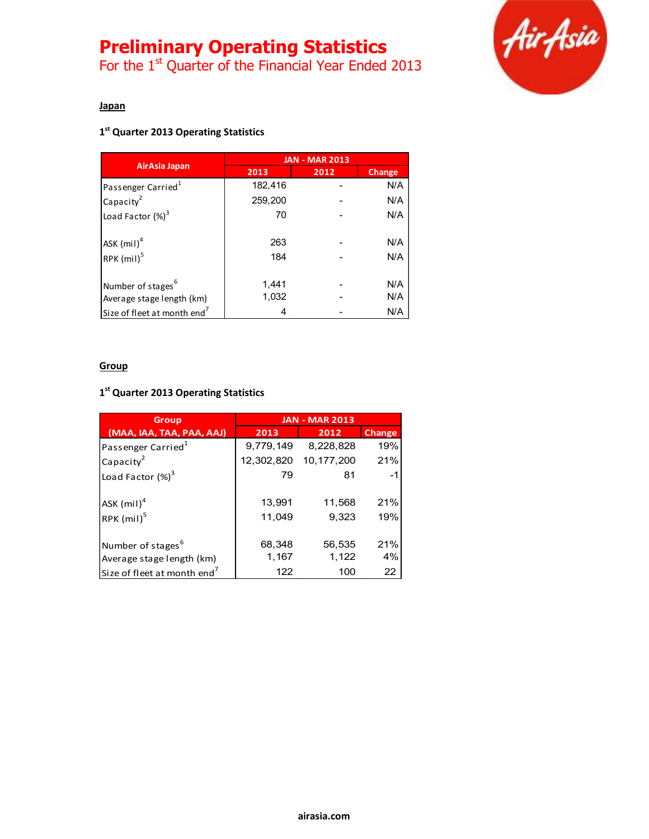# Preliminary Operating Statistics

For the  $1<sup>st</sup>$  Quarter of the Financial Year Ended 2013



# Japan

# 1<sup>st</sup> Quarter 2013 Operating Statistics

|                                         | <b>JAN - MAR 2013</b> |      |               |
|-----------------------------------------|-----------------------|------|---------------|
| AirAsia Japan                           | 2013                  | 2012 | <b>Change</b> |
| Passenger Carried <sup>1</sup>          | 182,416               |      | N/A           |
| Capacity <sup>2</sup>                   | 259,200               |      | N/A           |
| Load Factor $(\%)^3$                    | 70                    |      | N/A           |
| $ASK$ (mil) <sup>4</sup>                | 263                   |      | N/A           |
| RPK (mil) <sup>5</sup>                  | 184                   |      | N/A           |
| Number of stages <sup>6</sup>           | 1,441                 |      | N/A           |
| Average stage length (km)               | 1,032                 |      | N/A           |
| Size of fleet at month end <sup>7</sup> | 4                     |      | N/A           |

#### **Group**

# 1<sup>st</sup> Quarter 2013 Operating Statistics

| <b>Group</b>                            | <b>JAN - MAR 2013</b> |              |               |
|-----------------------------------------|-----------------------|--------------|---------------|
| (MAA, IAA, TAA, PAA, AAJ)               | 2013                  | 2012         | <b>Change</b> |
| Passenger Carried <sup>1</sup>          | 9,779,149             | 8,228,828    | 19%           |
| Capacity <sup>2</sup>                   | 12,302,820            | 10, 177, 200 | 21%           |
| Load Factor $(\%)^3$                    | 79                    | 81           | -1            |
| ASK $(mil)^4$                           | 13,991                | 11,568       | 21%           |
| RPK (mil) <sup>5</sup>                  | 11,049                | 9.323        | 19%           |
| Number of stages <sup>b</sup>           | 68,348                | 56,535       | 21%           |
| Average stage length (km)               | 1,167                 | 1,122        | 4%            |
| Size of fleet at month end <sup>7</sup> | 122                   | 100          | 22            |